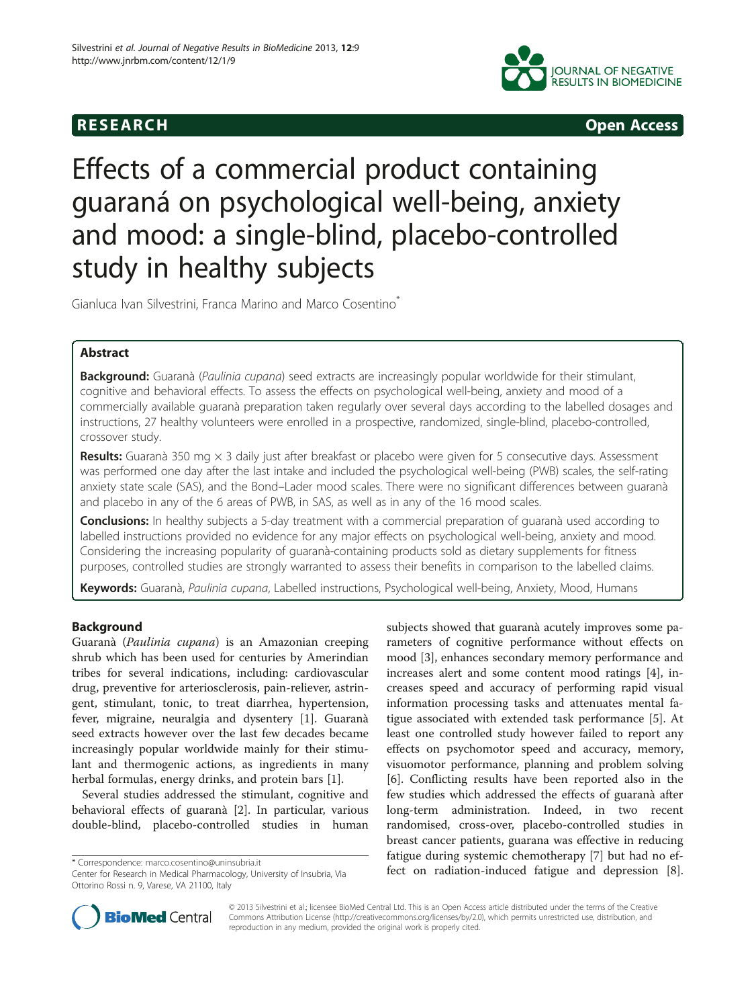# **RESEARCH CHINESEARCH CHINESEARCH**



# Effects of a commercial product containing guaraná on psychological well-being, anxiety and mood: a single-blind, placebo-controlled study in healthy subjects

Gianluca Ivan Silvestrini, Franca Marino and Marco Cosentino<sup>\*</sup>

# Abstract

Background: Guaranà (Paulinia cupana) seed extracts are increasingly popular worldwide for their stimulant, cognitive and behavioral effects. To assess the effects on psychological well-being, anxiety and mood of a commercially available guaranà preparation taken regularly over several days according to the labelled dosages and instructions, 27 healthy volunteers were enrolled in a prospective, randomized, single-blind, placebo-controlled, crossover study.

**Results:** Guaranà 350 mg  $\times$  3 daily just after breakfast or placebo were given for 5 consecutive days. Assessment was performed one day after the last intake and included the psychological well-being (PWB) scales, the self-rating anxiety state scale (SAS), and the Bond–Lader mood scales. There were no significant differences between guaranà and placebo in any of the 6 areas of PWB, in SAS, as well as in any of the 16 mood scales.

**Conclusions:** In healthy subjects a 5-day treatment with a commercial preparation of guaranà used according to labelled instructions provided no evidence for any major effects on psychological well-being, anxiety and mood. Considering the increasing popularity of guaranà-containing products sold as dietary supplements for fitness purposes, controlled studies are strongly warranted to assess their benefits in comparison to the labelled claims.

Keywords: Guaranà, Paulinia cupana, Labelled instructions, Psychological well-being, Anxiety, Mood, Humans

# Background

Guaranà (Paulinia cupana) is an Amazonian creeping shrub which has been used for centuries by Amerindian tribes for several indications, including: cardiovascular drug, preventive for arteriosclerosis, pain-reliever, astringent, stimulant, tonic, to treat diarrhea, hypertension, fever, migraine, neuralgia and dysentery [[1\]](#page-5-0). Guaranà seed extracts however over the last few decades became increasingly popular worldwide mainly for their stimulant and thermogenic actions, as ingredients in many herbal formulas, energy drinks, and protein bars [[1\]](#page-5-0).

Several studies addressed the stimulant, cognitive and behavioral effects of guaranà [\[2](#page-5-0)]. In particular, various double-blind, placebo-controlled studies in human

Center for Research in Medical Pharmacology, University of Insubria, Via Ottorino Rossi n. 9, Varese, VA 21100, Italy

subjects showed that guaranà acutely improves some parameters of cognitive performance without effects on mood [\[3](#page-5-0)], enhances secondary memory performance and increases alert and some content mood ratings [\[4](#page-5-0)], increases speed and accuracy of performing rapid visual information processing tasks and attenuates mental fatigue associated with extended task performance [[5](#page-5-0)]. At least one controlled study however failed to report any effects on psychomotor speed and accuracy, memory, visuomotor performance, planning and problem solving [[6\]](#page-5-0). Conflicting results have been reported also in the few studies which addressed the effects of guaranà after long-term administration. Indeed, in two recent randomised, cross-over, placebo-controlled studies in breast cancer patients, guarana was effective in reducing fatigue during systemic chemotherapy [[7\]](#page-5-0) but had no ef\* Correspondence: [marco.cosentino@uninsubria.it](mailto:marco.cosentino@uninsubria.it)<br>Center for Research in Medical Pharmacology. University of Insubria. Via **fect on radiation-induced fatigue and depression** [\[8](#page-5-0)].



© 2013 Silvestrini et al.; licensee BioMed Central Ltd. This is an Open Access article distributed under the terms of the Creative Commons Attribution License [\(http://creativecommons.org/licenses/by/2.0\)](http://creativecommons.org/licenses/by/2.0), which permits unrestricted use, distribution, and reproduction in any medium, provided the original work is properly cited.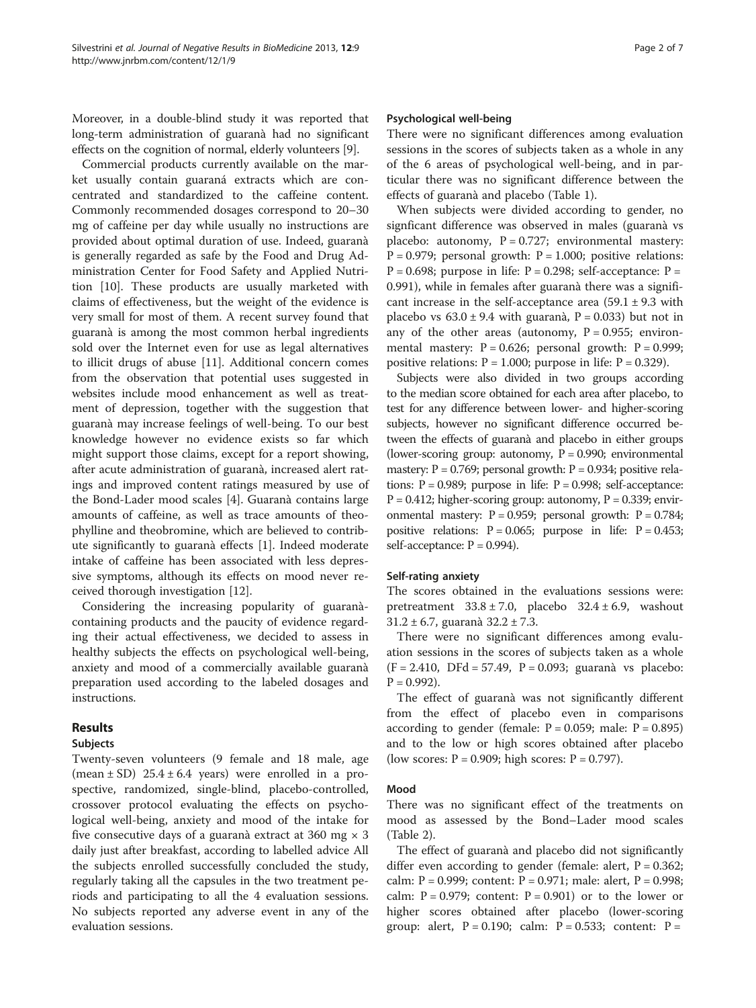Moreover, in a double-blind study it was reported that long-term administration of guaranà had no significant effects on the cognition of normal, elderly volunteers [\[9](#page-6-0)].

Commercial products currently available on the market usually contain guaraná extracts which are concentrated and standardized to the caffeine content. Commonly recommended dosages correspond to 20–30 mg of caffeine per day while usually no instructions are provided about optimal duration of use. Indeed, guaranà is generally regarded as safe by the Food and Drug Administration Center for Food Safety and Applied Nutrition [\[10\]](#page-6-0). These products are usually marketed with claims of effectiveness, but the weight of the evidence is very small for most of them. A recent survey found that guaranà is among the most common herbal ingredients sold over the Internet even for use as legal alternatives to illicit drugs of abuse [[11\]](#page-6-0). Additional concern comes from the observation that potential uses suggested in websites include mood enhancement as well as treatment of depression, together with the suggestion that guaranà may increase feelings of well-being. To our best knowledge however no evidence exists so far which might support those claims, except for a report showing, after acute administration of guaranà, increased alert ratings and improved content ratings measured by use of the Bond-Lader mood scales [[4](#page-5-0)]. Guaranà contains large amounts of caffeine, as well as trace amounts of theophylline and theobromine, which are believed to contribute significantly to guaranà effects [[1](#page-5-0)]. Indeed moderate intake of caffeine has been associated with less depressive symptoms, although its effects on mood never received thorough investigation [[12](#page-6-0)].

Considering the increasing popularity of guaranàcontaining products and the paucity of evidence regarding their actual effectiveness, we decided to assess in healthy subjects the effects on psychological well-being, anxiety and mood of a commercially available guaranà preparation used according to the labeled dosages and instructions.

### Results

#### Subjects

Twenty-seven volunteers (9 female and 18 male, age (mean  $\pm$  SD) 25.4  $\pm$  6.4 years) were enrolled in a prospective, randomized, single-blind, placebo-controlled, crossover protocol evaluating the effects on psychological well-being, anxiety and mood of the intake for five consecutive days of a guaranà extract at 360 mg  $\times$  3 daily just after breakfast, according to labelled advice All the subjects enrolled successfully concluded the study, regularly taking all the capsules in the two treatment periods and participating to all the 4 evaluation sessions. No subjects reported any adverse event in any of the evaluation sessions.

#### Psychological well-being

There were no significant differences among evaluation sessions in the scores of subjects taken as a whole in any of the 6 areas of psychological well-being, and in particular there was no significant difference between the effects of guaranà and placebo (Table [1](#page-2-0)).

When subjects were divided according to gender, no signficant difference was observed in males (guaranà vs placebo: autonomy,  $P = 0.727$ ; environmental mastery:  $P = 0.979$ ; personal growth:  $P = 1.000$ ; positive relations:  $P = 0.698$ ; purpose in life:  $P = 0.298$ ; self-acceptance:  $P =$ 0.991), while in females after guaranà there was a significant increase in the self-acceptance area  $(59.1 \pm 9.3 \text{ with}$ placebo vs  $63.0 \pm 9.4$  with guaranà, P = 0.033) but not in any of the other areas (autonomy,  $P = 0.955$ ; environmental mastery:  $P = 0.626$ ; personal growth:  $P = 0.999$ ; positive relations:  $P = 1.000$ ; purpose in life:  $P = 0.329$ ).

Subjects were also divided in two groups according to the median score obtained for each area after placebo, to test for any difference between lower- and higher-scoring subjects, however no significant difference occurred between the effects of guaranà and placebo in either groups (lower-scoring group: autonomy,  $P = 0.990$ ; environmental mastery:  $P = 0.769$ ; personal growth:  $P = 0.934$ ; positive relations:  $P = 0.989$ ; purpose in life:  $P = 0.998$ ; self-acceptance:  $P = 0.412$ ; higher-scoring group: autonomy,  $P = 0.339$ ; environmental mastery:  $P = 0.959$ ; personal growth:  $P = 0.784$ ; positive relations:  $P = 0.065$ ; purpose in life:  $P = 0.453$ ; self-acceptance:  $P = 0.994$ ).

#### Self-rating anxiety

The scores obtained in the evaluations sessions were: pretreatment  $33.8 \pm 7.0$ , placebo  $32.4 \pm 6.9$ , washout 31.2 ± 6.7, guaranà 32.2 ± 7.3.

There were no significant differences among evaluation sessions in the scores of subjects taken as a whole  $(F = 2.410, \text{DFd} = 57.49, \text{P} = 0.093; \text{guaranà vs placebo:}$  $P = 0.992$ ).

The effect of guaranà was not significantly different from the effect of placebo even in comparisons according to gender (female:  $P = 0.059$ ; male:  $P = 0.895$ ) and to the low or high scores obtained after placebo (low scores:  $P = 0.909$ ; high scores:  $P = 0.797$ ).

#### Mood

There was no significant effect of the treatments on mood as assessed by the Bond–Lader mood scales (Table [2\)](#page-2-0).

The effect of guaranà and placebo did not significantly differ even according to gender (female: alert,  $P = 0.362$ ; calm: P = 0.999; content: P = 0.971; male: alert, P = 0.998; calm:  $P = 0.979$ ; content:  $P = 0.901$ ) or to the lower or higher scores obtained after placebo (lower-scoring group: alert,  $P = 0.190$ ; calm:  $P = 0.533$ ; content:  $P =$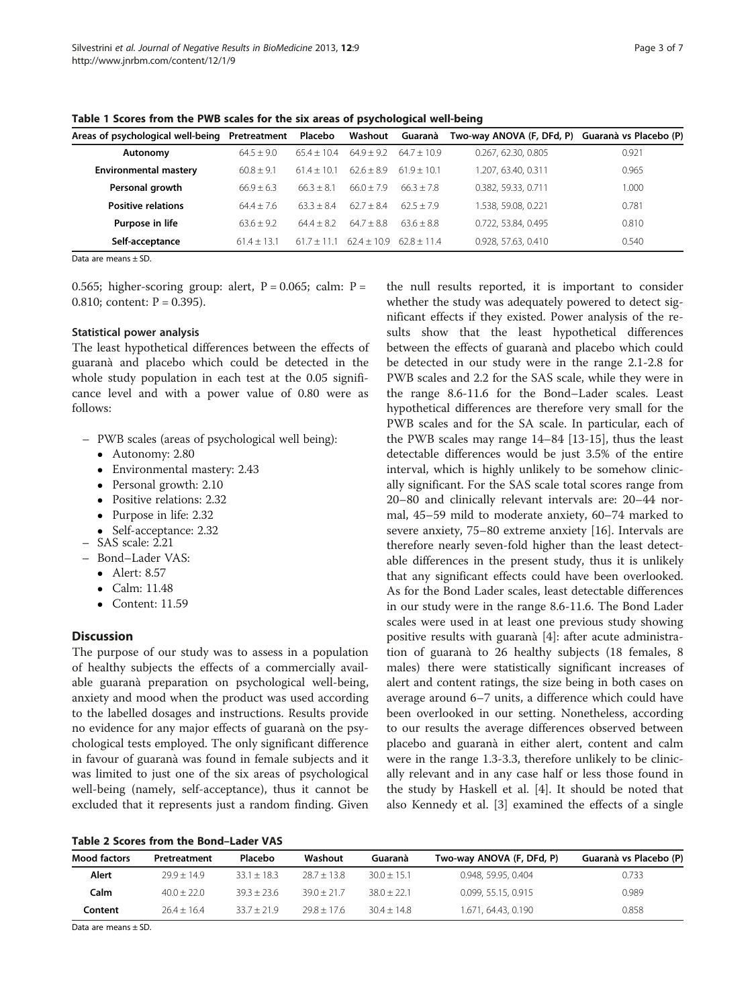<span id="page-2-0"></span>Table 1 Scores from the PWB scales for the six areas of psychological well-being

| Areas of psychological well-being | Pretreatment  | Placebo            | Washout      | Guaranà       | Two-way ANOVA (F, DFd, P) Guaranà vs Placebo (P) |       |
|-----------------------------------|---------------|--------------------|--------------|---------------|--------------------------------------------------|-------|
| Autonomy                          | $64.5 + 9.0$  | $654 + 104$        | $64.9 + 9.2$ | $647 + 109$   | 0.267, 62.30, 0.805                              | 0.921 |
| <b>Environmental mastery</b>      | $60.8 + 9.1$  | $614 + 10^{\circ}$ | $626 + 89$   | $61.9 + 10.1$ | 1.207. 63.40. 0.311                              | 0.965 |
| Personal growth                   | $66.9 + 6.3$  | $663 + 81$         | $660 + 79$   | $663 + 78$    | 0.382, 59.33, 0.711                              | 1.000 |
| <b>Positive relations</b>         | $64.4 + 7.6$  | $633 + 84$         | $627 + 84$   | $625 + 79$    | 1.538, 59.08, 0.221                              | 0.781 |
| Purpose in life                   | $63.6 + 9.2$  | $644 + 82$         | $64.7 + 8.8$ | $636 + 88$    | 0.722, 53.84, 0.495                              | 0.810 |
| Self-acceptance                   | $61.4 + 13.1$ | 61/111             | $624 + 109$  | $628 + 114$   | 0.928, 57.63, 0.410                              | 0.540 |

Data are means ± SD.

0.565; higher-scoring group: alert,  $P = 0.065$ ; calm:  $P =$ 0.810; content:  $P = 0.395$ ).

#### Statistical power analysis

The least hypothetical differences between the effects of guaranà and placebo which could be detected in the whole study population in each test at the 0.05 significance level and with a power value of 0.80 were as follows:

- PWB scales (areas of psychological well being):
	- Autonomy: 2.80
	- Environmental mastery: 2.43
	- Personal growth: 2.10
	- Positive relations: 2.32
	- Purpose in life: 2.32
- Self-acceptance: 2.32 SAS scale: 2.21
	-
- Bond–Lader VAS:
	- $\bullet$  Alert: 8.57
	- Calm: 11.48
	- $\bullet$  Content: 11.59

## **Discussion**

The purpose of our study was to assess in a population of healthy subjects the effects of a commercially available guaranà preparation on psychological well-being, anxiety and mood when the product was used according to the labelled dosages and instructions. Results provide no evidence for any major effects of guaranà on the psychological tests employed. The only significant difference in favour of guaranà was found in female subjects and it was limited to just one of the six areas of psychological well-being (namely, self-acceptance), thus it cannot be excluded that it represents just a random finding. Given

the null results reported, it is important to consider whether the study was adequately powered to detect significant effects if they existed. Power analysis of the results show that the least hypothetical differences between the effects of guaranà and placebo which could be detected in our study were in the range 2.1-2.8 for PWB scales and 2.2 for the SAS scale, while they were in the range 8.6-11.6 for the Bond–Lader scales. Least hypothetical differences are therefore very small for the PWB scales and for the SA scale. In particular, each of the PWB scales may range 14–84 [[13-15](#page-6-0)], thus the least detectable differences would be just 3.5% of the entire interval, which is highly unlikely to be somehow clinically significant. For the SAS scale total scores range from 20–80 and clinically relevant intervals are: 20–44 normal, 45–59 mild to moderate anxiety, 60–74 marked to severe anxiety, 75–80 extreme anxiety [[16\]](#page-6-0). Intervals are therefore nearly seven-fold higher than the least detectable differences in the present study, thus it is unlikely that any significant effects could have been overlooked. As for the Bond Lader scales, least detectable differences in our study were in the range 8.6-11.6. The Bond Lader scales were used in at least one previous study showing positive results with guaranà [\[4](#page-5-0)]: after acute administration of guaranà to 26 healthy subjects (18 females, 8 males) there were statistically significant increases of alert and content ratings, the size being in both cases on average around 6–7 units, a difference which could have been overlooked in our setting. Nonetheless, according to our results the average differences observed between placebo and guaranà in either alert, content and calm were in the range 1.3-3.3, therefore unlikely to be clinically relevant and in any case half or less those found in the study by Haskell et al. [\[4](#page-5-0)]. It should be noted that also Kennedy et al. [\[3](#page-5-0)] examined the effects of a single

#### Table 2 Scores from the Bond–Lader VAS

| <b>Mood factors</b> | Pretreatment  | Placebo       | Washout       | Guaranà       | Two-way ANOVA (F, DFd, P) | Guaranà vs Placebo (P) |
|---------------------|---------------|---------------|---------------|---------------|---------------------------|------------------------|
| Alert               | $79.9 + 14.9$ | $33.1 + 18.3$ | $28.7 + 13.8$ | $30.0 + 15.1$ | 0.948, 59.95, 0.404       | 0.733                  |
| Calm                | $40.0 + 22.0$ | $39.3 + 23.6$ | $39.0 + 21.7$ | $38.0 + 22.1$ | 0.099, 55.15, 0.915       | 0.989                  |
| Content             | $76.4 + 16.4$ | $337 + 219$   | $79.8 + 17.6$ | $30.4 + 14.8$ | 1.671, 64.43, 0.190       | 0.858                  |

Data are means ± SD.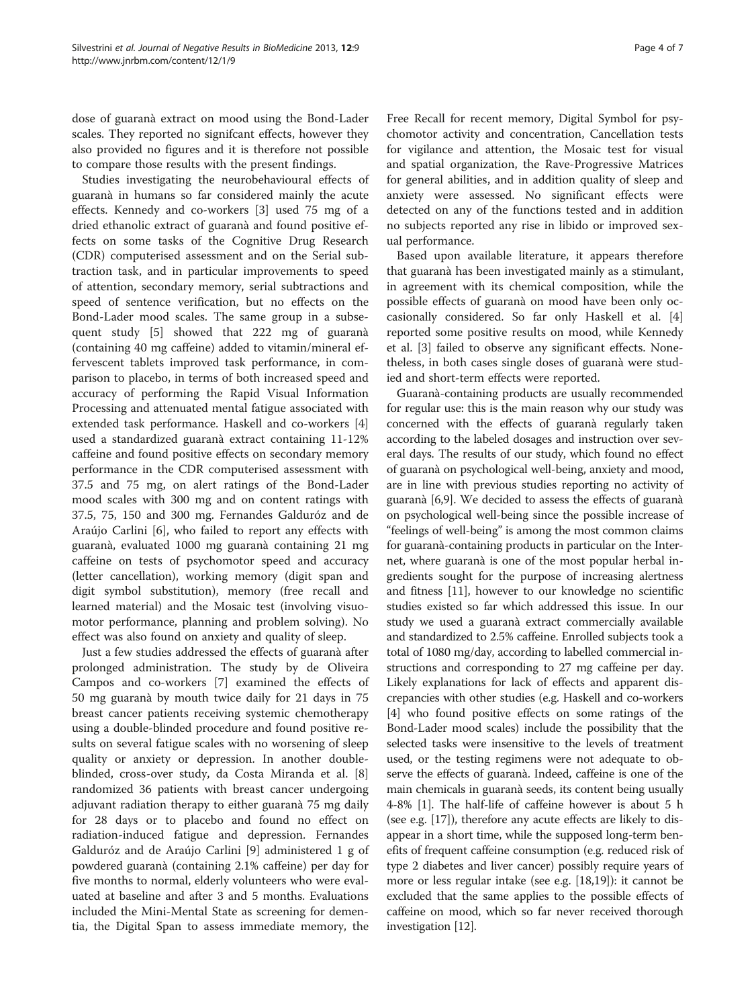dose of guaranà extract on mood using the Bond-Lader scales. They reported no signifcant effects, however they also provided no figures and it is therefore not possible to compare those results with the present findings.

Studies investigating the neurobehavioural effects of guaranà in humans so far considered mainly the acute effects. Kennedy and co-workers [\[3\]](#page-5-0) used 75 mg of a dried ethanolic extract of guaranà and found positive effects on some tasks of the Cognitive Drug Research (CDR) computerised assessment and on the Serial subtraction task, and in particular improvements to speed of attention, secondary memory, serial subtractions and speed of sentence verification, but no effects on the Bond-Lader mood scales. The same group in a subsequent study [[5\]](#page-5-0) showed that 222 mg of guaranà (containing 40 mg caffeine) added to vitamin/mineral effervescent tablets improved task performance, in comparison to placebo, in terms of both increased speed and accuracy of performing the Rapid Visual Information Processing and attenuated mental fatigue associated with extended task performance. Haskell and co-workers [\[4](#page-5-0)] used a standardized guaranà extract containing 11-12% caffeine and found positive effects on secondary memory performance in the CDR computerised assessment with 37.5 and 75 mg, on alert ratings of the Bond-Lader mood scales with 300 mg and on content ratings with 37.5, 75, 150 and 300 mg. Fernandes Galduróz and de Araújo Carlini [\[6\]](#page-5-0), who failed to report any effects with guaranà, evaluated 1000 mg guaranà containing 21 mg caffeine on tests of psychomotor speed and accuracy (letter cancellation), working memory (digit span and digit symbol substitution), memory (free recall and learned material) and the Mosaic test (involving visuomotor performance, planning and problem solving). No effect was also found on anxiety and quality of sleep.

Just a few studies addressed the effects of guaranà after prolonged administration. The study by de Oliveira Campos and co-workers [[7\]](#page-5-0) examined the effects of 50 mg guaranà by mouth twice daily for 21 days in 75 breast cancer patients receiving systemic chemotherapy using a double-blinded procedure and found positive results on several fatigue scales with no worsening of sleep quality or anxiety or depression. In another doubleblinded, cross-over study, da Costa Miranda et al. [\[8](#page-5-0)] randomized 36 patients with breast cancer undergoing adjuvant radiation therapy to either guaranà 75 mg daily for 28 days or to placebo and found no effect on radiation-induced fatigue and depression. Fernandes Galduróz and de Araújo Carlini [[9\]](#page-6-0) administered 1 g of powdered guaranà (containing 2.1% caffeine) per day for five months to normal, elderly volunteers who were evaluated at baseline and after 3 and 5 months. Evaluations included the Mini-Mental State as screening for dementia, the Digital Span to assess immediate memory, the

Free Recall for recent memory, Digital Symbol for psychomotor activity and concentration, Cancellation tests for vigilance and attention, the Mosaic test for visual and spatial organization, the Rave-Progressive Matrices for general abilities, and in addition quality of sleep and anxiety were assessed. No significant effects were detected on any of the functions tested and in addition no subjects reported any rise in libido or improved sexual performance.

Based upon available literature, it appears therefore that guaranà has been investigated mainly as a stimulant, in agreement with its chemical composition, while the possible effects of guaranà on mood have been only occasionally considered. So far only Haskell et al. [\[4](#page-5-0)] reported some positive results on mood, while Kennedy et al. [\[3](#page-5-0)] failed to observe any significant effects. Nonetheless, in both cases single doses of guaranà were studied and short-term effects were reported.

Guaranà-containing products are usually recommended for regular use: this is the main reason why our study was concerned with the effects of guaranà regularly taken according to the labeled dosages and instruction over several days. The results of our study, which found no effect of guaranà on psychological well-being, anxiety and mood, are in line with previous studies reporting no activity of guaranà [[6](#page-5-0)[,9](#page-6-0)]. We decided to assess the effects of guaranà on psychological well-being since the possible increase of "feelings of well-being" is among the most common claims for guaranà-containing products in particular on the Internet, where guaranà is one of the most popular herbal ingredients sought for the purpose of increasing alertness and fitness [[11](#page-6-0)], however to our knowledge no scientific studies existed so far which addressed this issue. In our study we used a guaranà extract commercially available and standardized to 2.5% caffeine. Enrolled subjects took a total of 1080 mg/day, according to labelled commercial instructions and corresponding to 27 mg caffeine per day. Likely explanations for lack of effects and apparent discrepancies with other studies (e.g. Haskell and co-workers [[4\]](#page-5-0) who found positive effects on some ratings of the Bond-Lader mood scales) include the possibility that the selected tasks were insensitive to the levels of treatment used, or the testing regimens were not adequate to observe the effects of guaranà. Indeed, caffeine is one of the main chemicals in guaranà seeds, its content being usually 4-8% [\[1\]](#page-5-0). The half-life of caffeine however is about 5 h (see e.g. [[17](#page-6-0)]), therefore any acute effects are likely to disappear in a short time, while the supposed long-term benefits of frequent caffeine consumption (e.g. reduced risk of type 2 diabetes and liver cancer) possibly require years of more or less regular intake (see e.g. [\[18,19\]](#page-6-0)): it cannot be excluded that the same applies to the possible effects of caffeine on mood, which so far never received thorough investigation [[12](#page-6-0)].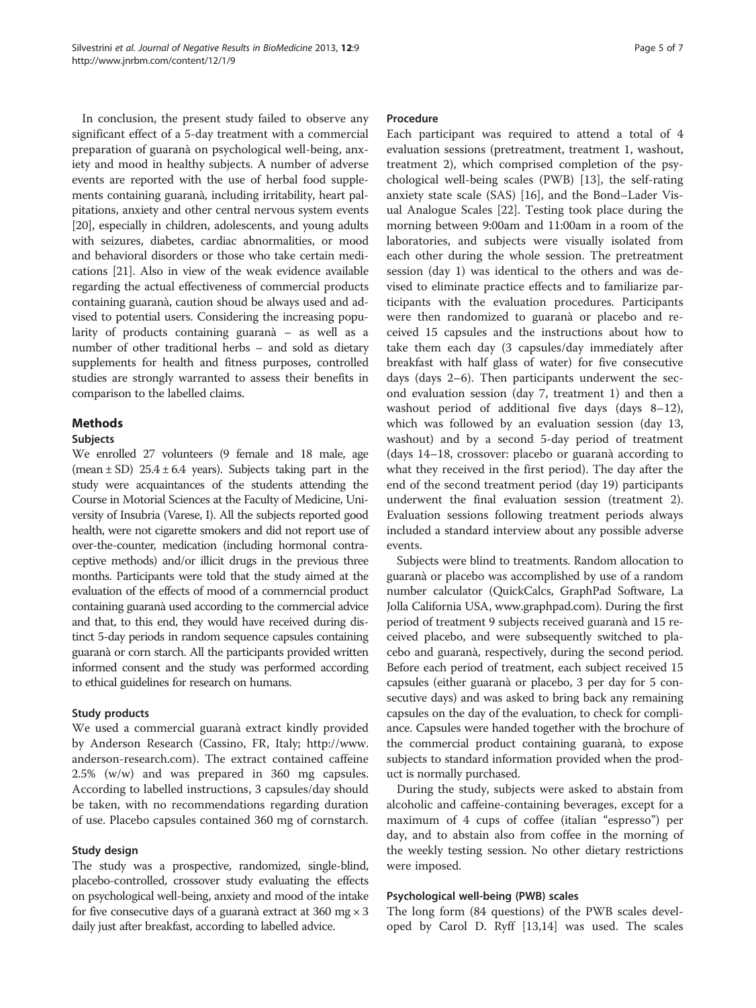In conclusion, the present study failed to observe any significant effect of a 5-day treatment with a commercial preparation of guaranà on psychological well-being, anxiety and mood in healthy subjects. A number of adverse events are reported with the use of herbal food supplements containing guaranà, including irritability, heart palpitations, anxiety and other central nervous system events [[20](#page-6-0)], especially in children, adolescents, and young adults with seizures, diabetes, cardiac abnormalities, or mood and behavioral disorders or those who take certain medications [[21](#page-6-0)]. Also in view of the weak evidence available regarding the actual effectiveness of commercial products containing guaranà, caution shoud be always used and advised to potential users. Considering the increasing popularity of products containing guaranà – as well as a number of other traditional herbs – and sold as dietary supplements for health and fitness purposes, controlled studies are strongly warranted to assess their benefits in comparison to the labelled claims.

# Methods

#### Subjects

We enrolled 27 volunteers (9 female and 18 male, age (mean  $\pm$  SD) 25.4  $\pm$  6.4 years). Subjects taking part in the study were acquaintances of the students attending the Course in Motorial Sciences at the Faculty of Medicine, University of Insubria (Varese, I). All the subjects reported good health, were not cigarette smokers and did not report use of over-the-counter, medication (including hormonal contraceptive methods) and/or illicit drugs in the previous three months. Participants were told that the study aimed at the evaluation of the effects of mood of a commerncial product containing guaranà used according to the commercial advice and that, to this end, they would have received during distinct 5-day periods in random sequence capsules containing guaranà or corn starch. All the participants provided written informed consent and the study was performed according to ethical guidelines for research on humans.

#### Study products

We used a commercial guaranà extract kindly provided by Anderson Research (Cassino, FR, Italy; [http://www.](http://www.anderson-research.com) [anderson-research.com\)](http://www.anderson-research.com). The extract contained caffeine 2.5% (w/w) and was prepared in 360 mg capsules. According to labelled instructions, 3 capsules/day should be taken, with no recommendations regarding duration of use. Placebo capsules contained 360 mg of cornstarch.

#### Study design

The study was a prospective, randomized, single-blind, placebo-controlled, crossover study evaluating the effects on psychological well-being, anxiety and mood of the intake for five consecutive days of a guaranà extract at  $360 \text{ mg} \times 3$ daily just after breakfast, according to labelled advice.

#### **Procedure**

Each participant was required to attend a total of 4 evaluation sessions (pretreatment, treatment 1, washout, treatment 2), which comprised completion of the psychological well-being scales (PWB) [\[13](#page-6-0)], the self-rating anxiety state scale (SAS) [\[16](#page-6-0)], and the Bond–Lader Visual Analogue Scales [[22\]](#page-6-0). Testing took place during the morning between 9:00am and 11:00am in a room of the laboratories, and subjects were visually isolated from each other during the whole session. The pretreatment session (day 1) was identical to the others and was devised to eliminate practice effects and to familiarize participants with the evaluation procedures. Participants were then randomized to guaranà or placebo and received 15 capsules and the instructions about how to take them each day (3 capsules/day immediately after breakfast with half glass of water) for five consecutive days (days 2–6). Then participants underwent the second evaluation session (day 7, treatment 1) and then a washout period of additional five days (days 8–12), which was followed by an evaluation session (day 13, washout) and by a second 5-day period of treatment (days 14–18, crossover: placebo or guaranà according to what they received in the first period). The day after the end of the second treatment period (day 19) participants underwent the final evaluation session (treatment 2). Evaluation sessions following treatment periods always included a standard interview about any possible adverse events.

Subjects were blind to treatments. Random allocation to guaranà or placebo was accomplished by use of a random number calculator (QuickCalcs, GraphPad Software, La Jolla California USA, [www.graphpad.com](http://www.graphpad.com/)). During the first period of treatment 9 subjects received guaranà and 15 received placebo, and were subsequently switched to placebo and guaranà, respectively, during the second period. Before each period of treatment, each subject received 15 capsules (either guaranà or placebo, 3 per day for 5 consecutive days) and was asked to bring back any remaining capsules on the day of the evaluation, to check for compliance. Capsules were handed together with the brochure of the commercial product containing guaranà, to expose subjects to standard information provided when the product is normally purchased.

During the study, subjects were asked to abstain from alcoholic and caffeine-containing beverages, except for a maximum of 4 cups of coffee (italian "espresso") per day, and to abstain also from coffee in the morning of the weekly testing session. No other dietary restrictions were imposed.

#### Psychological well-being (PWB) scales

The long form (84 questions) of the PWB scales developed by Carol D. Ryff [[13](#page-6-0),[14](#page-6-0)] was used. The scales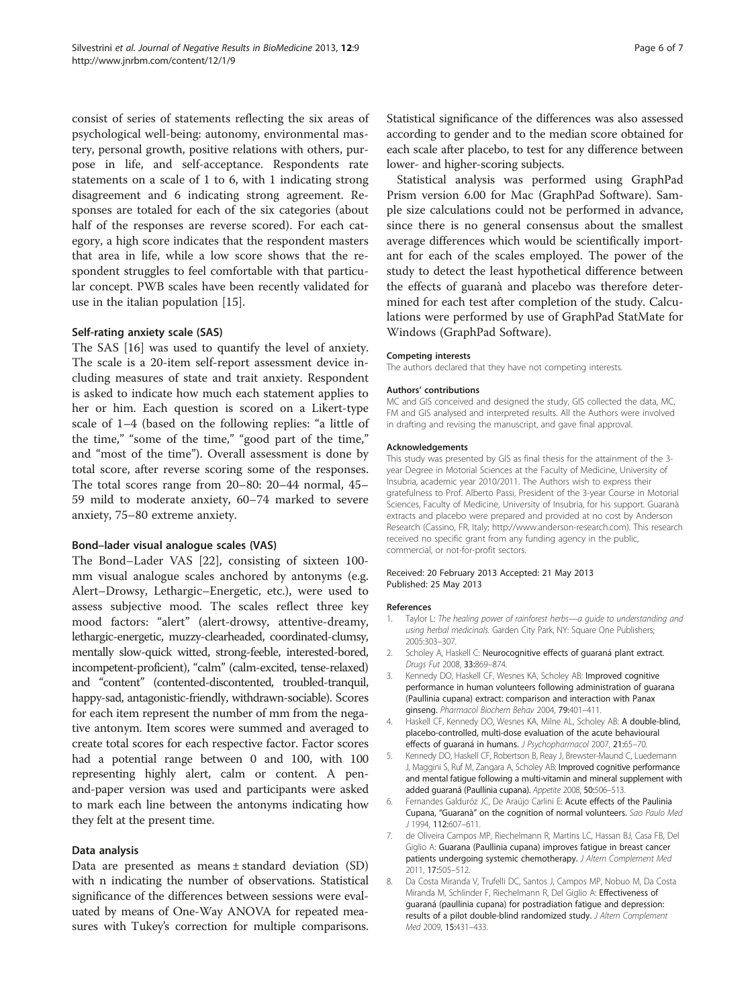<span id="page-5-0"></span>consist of series of statements reflecting the six areas of psychological well-being: autonomy, environmental mastery, personal growth, positive relations with others, purpose in life, and self-acceptance. Respondents rate statements on a scale of 1 to 6, with 1 indicating strong disagreement and 6 indicating strong agreement. Responses are totaled for each of the six categories (about half of the responses are reverse scored). For each category, a high score indicates that the respondent masters that area in life, while a low score shows that the respondent struggles to feel comfortable with that particular concept. PWB scales have been recently validated for use in the italian population [\[15\]](#page-6-0).

#### Self-rating anxiety scale (SAS)

The SAS [[16\]](#page-6-0) was used to quantify the level of anxiety. The scale is a 20-item self-report assessment device including measures of state and trait anxiety. Respondent is asked to indicate how much each statement applies to her or him. Each question is scored on a Likert-type scale of 1–4 (based on the following replies: "a little of the time," "some of the time," "good part of the time," and "most of the time"). Overall assessment is done by total score, after reverse scoring some of the responses. The total scores range from 20–80: 20–44 normal, 45– 59 mild to moderate anxiety, 60–74 marked to severe anxiety, 75–80 extreme anxiety.

#### Bond–lader visual analogue scales (VAS)

The Bond–Lader VAS [[22\]](#page-6-0), consisting of sixteen 100 mm visual analogue scales anchored by antonyms (e.g. Alert–Drowsy, Lethargic–Energetic, etc.), were used to assess subjective mood. The scales reflect three key mood factors: "alert" (alert-drowsy, attentive-dreamy, lethargic-energetic, muzzy-clearheaded, coordinated-clumsy, mentally slow-quick witted, strong-feeble, interested-bored, incompetent-proficient), "calm" (calm-excited, tense-relaxed) and "content" (contented-discontented, troubled-tranquil, happy-sad, antagonistic-friendly, withdrawn-sociable). Scores for each item represent the number of mm from the negative antonym. Item scores were summed and averaged to create total scores for each respective factor. Factor scores had a potential range between 0 and 100, with 100 representing highly alert, calm or content. A penand-paper version was used and participants were asked to mark each line between the antonyms indicating how they felt at the present time.

#### Data analysis

Data are presented as means  $\pm$  standard deviation (SD) with n indicating the number of observations. Statistical significance of the differences between sessions were evaluated by means of One-Way ANOVA for repeated measures with Tukey's correction for multiple comparisons. Statistical significance of the differences was also assessed according to gender and to the median score obtained for each scale after placebo, to test for any difference between lower- and higher-scoring subjects.

Statistical analysis was performed using GraphPad Prism version 6.00 for Mac (GraphPad Software). Sample size calculations could not be performed in advance, since there is no general consensus about the smallest average differences which would be scientifically important for each of the scales employed. The power of the study to detect the least hypothetical difference between the effects of guaranà and placebo was therefore determined for each test after completion of the study. Calculations were performed by use of GraphPad StatMate for Windows (GraphPad Software).

#### Competing interests

The authors declared that they have not competing interests.

#### Authors' contributions

MC and GIS conceived and designed the study, GIS collected the data, MC, FM and GIS analysed and interpreted results. All the Authors were involved in drafting and revising the manuscript, and gave final approval.

#### Acknowledgements

This study was presented by GIS as final thesis for the attainment of the 3 year Degree in Motorial Sciences at the Faculty of Medicine, University of Insubria, academic year 2010/2011. The Authors wish to express their gratefulness to Prof. Alberto Passi, President of the 3-year Course in Motorial Sciences, Faculty of Medicine, University of Insubria, for his support. Guaranà extracts and placebo were prepared and provided at no cost by Anderson Research (Cassino, FR, Italy; [http://www.anderson-research.com\)](http://www.anderson-research.com). This research received no specific grant from any funding agency in the public, commercial, or not-for-profit sectors.

#### Received: 20 February 2013 Accepted: 21 May 2013 Published: 25 May 2013

#### References

- 1. Taylor L: The healing power of rainforest herbs—a guide to understanding and using herbal medicinals. Garden City Park, NY: Square One Publishers; 2005:303–307.
- 2. Scholey A, Haskell C: Neurocognitive effects of quaraná plant extract. Drugs Fut 2008, 33:869–874.
- 3. Kennedy DO, Haskell CF, Wesnes KA, Scholey AB: Improved cognitive performance in human volunteers following administration of guarana (Paullinia cupana) extract: comparison and interaction with Panax ginseng. Pharmacol Biochem Behav 2004, 79:401–411.
- 4. Haskell CF, Kennedy DO, Wesnes KA, Milne AL, Scholey AB: A double-blind, placebo-controlled, multi-dose evaluation of the acute behavioural effects of guaraná in humans. J Psychopharmacol 2007, 21:65–70.
- 5. Kennedy DO, Haskell CF, Robertson B, Reay J, Brewster-Maund C, Luedemann J, Maggini S, Ruf M, Zangara A, Scholey AB: Improved cognitive performance and mental fatigue following a multi-vitamin and mineral supplement with added guaraná (Paullinia cupana). Appetite 2008, 50:506–513.
- 6. Fernandes Galduróz JC, De Araújo Carlini E: Acute effects of the Paulinia Cupana, "Guaranà" on the cognition of normal volunteers. Sao Paulo Med J 1994, 112:607–611.
- 7. de Oliveira Campos MP, Riechelmann R, Martins LC, Hassan BJ, Casa FB, Del Giglio A: Guarana (Paullinia cupana) improves fatigue in breast cancer patients undergoing systemic chemotherapy. J Altern Complement Med 2011, 17:505–512.
- 8. Da Costa Miranda V, Trufelli DC, Santos J, Campos MP, Nobuo M, Da Costa Miranda M, Schlinder F, Riechelmann R, Del Giglio A: Effectiveness of guaraná (paullinia cupana) for postradiation fatigue and depression: results of a pilot double-blind randomized study. J Altern Complement Med 2009, 15:431–433.